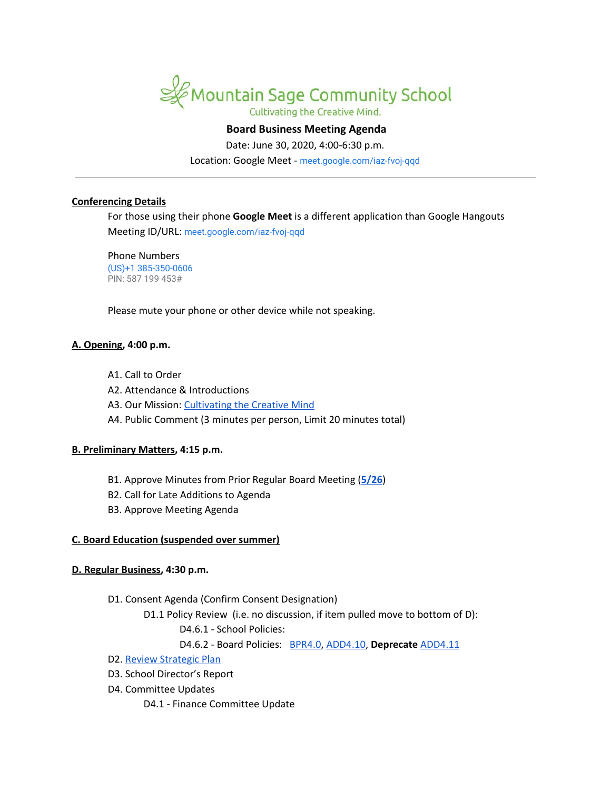

# **Board Business Meeting Agenda**

Date: June 30, 2020, 4:00-6:30 p.m.

Location: Google Meet - [meet.google.com/iaz-fvoj-qqd](https://meet.google.com/iaz-fvoj-qqd?hs=122&authuser=1)

#### **Conferencing Details**

For those using their phone **Google Meet** is a different application than Google Hangouts Meeting ID/URL: [meet.google.com/iaz-fvoj-qqd](https://meet.google.com/iaz-fvoj-qqd?hs=122&authuser=1)

Phone Numbers (US)+1 385-350-0606 PIN: 587 199 453#

Please mute your phone or other device while not speaking.

#### **A. Opening, 4:00 p.m.**

- A1. Call to Order
- A2. Attendance & Introductions
- A3. Our Mission: [Cultivating](http://www.mountainsage.org/mission-and-vision.html) the Creative Mind
- A4. Public Comment (3 minutes per person, Limit 20 minutes total)

#### **B. Preliminary Matters, 4:15 p.m.**

- B1. Approve Minutes from Prior Regular Board Meeting (**[5/26](https://docs.google.com/document/d/161zl8WFevxkEOyEIBrsRgAN6SxmiRq0CZN9IgiANXds)**)
- B2. Call for Late Additions to Agenda
- B3. Approve Meeting Agenda

#### **C. Board Education (suspended over summer)**

#### **D. Regular Business, 4:30 p.m.**

- D1. Consent Agenda (Confirm Consent Designation)
	- D1.1 Policy Review (i.e. no discussion, if item pulled move to bottom of D):
		- D4.6.1 School Policies:
		- D4.6.2 Board Policies: [BPR4.0,](https://docs.google.com/document/d/1RPCbda9rV1YdBUSFUo1brUdEaAQXdP_m__hW9TQc870) [ADD4.10,](https://docs.google.com/document/d/1V3xXA9nFS1VysNA0KFmEQ4u6WqqhQFkELG6kWdBkEkM) **Deprecate** [ADD4.11](https://docs.google.com/document/d/1jjH1BH72bmcnKP7hXY0hZNUZ6UTW8wR0V42ZOMS3ZrI)
- D2. Review [Strategic](https://drive.google.com/file/d/1bIEAL8S8NnDx9PPJRR79h1dLsXFMCh-t/view?usp=sharing) Plan
- D3. School Director's Report
- D4. Committee Updates
	- D4.1 Finance Committee Update